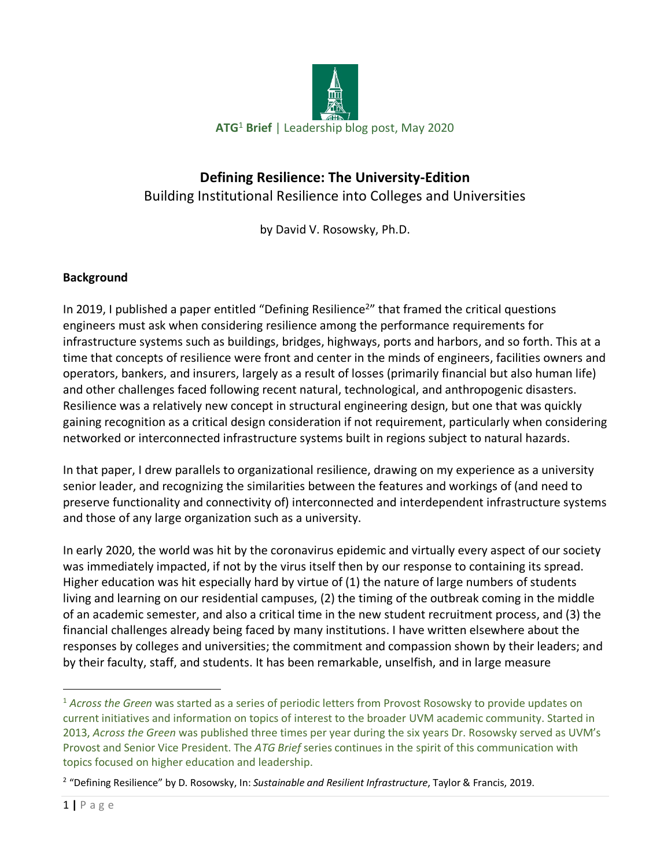

# **Defining Resilience: The University-Edition** Building Institutional Resilience into Colleges and Universities

by David V. Rosowsky, Ph.D.

# **Background**

In 2019, I published a paper entitled "Defining Resilience<sup>2</sup>" that framed the critical questions engineers must ask when considering resilience among the performance requirements for infrastructure systems such as buildings, bridges, highways, ports and harbors, and so forth. This at a time that concepts of resilience were front and center in the minds of engineers, facilities owners and operators, bankers, and insurers, largely as a result of losses (primarily financial but also human life) and other challenges faced following recent natural, technological, and anthropogenic disasters. Resilience was a relatively new concept in structural engineering design, but one that was quickly gaining recognition as a critical design consideration if not requirement, particularly when considering networked or interconnected infrastructure systems built in regions subject to natural hazards.

In that paper, I drew parallels to organizational resilience, drawing on my experience as a university senior leader, and recognizing the similarities between the features and workings of (and need to preserve functionality and connectivity of) interconnected and interdependent infrastructure systems and those of any large organization such as a university.

In early 2020, the world was hit by the coronavirus epidemic and virtually every aspect of our society was immediately impacted, if not by the virus itself then by our response to containing its spread. Higher education was hit especially hard by virtue of (1) the nature of large numbers of students living and learning on our residential campuses, (2) the timing of the outbreak coming in the middle of an academic semester, and also a critical time in the new student recruitment process, and (3) the financial challenges already being faced by many institutions. I have written elsewhere about the responses by colleges and universities; the commitment and compassion shown by their leaders; and by their faculty, staff, and students. It has been remarkable, unselfish, and in large measure

 <sup>1</sup> *Across the Green* was started as a series of periodic letters from Provost Rosowsky to provide updates on current initiatives and information on topics of interest to the broader UVM academic community. Started in 2013, *Across the Green* was published three times per year during the six years Dr. Rosowsky served as UVM's Provost and Senior Vice President. The *ATG Brief* series continues in the spirit of this communication with topics focused on higher education and leadership.

<sup>2</sup> "Defining Resilience" by D. Rosowsky, In: *Sustainable and Resilient Infrastructure*, Taylor & Francis, 2019.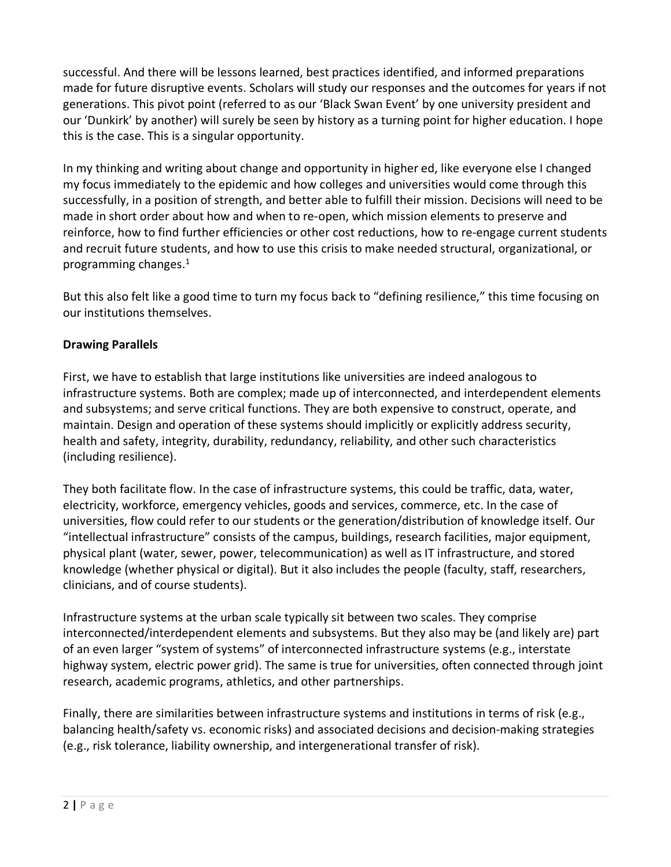successful. And there will be lessons learned, best practices identified, and informed preparations made for future disruptive events. Scholars will study our responses and the outcomes for years if not generations. This pivot point (referred to as our 'Black Swan Event' by one university president and our 'Dunkirk' by another) will surely be seen by history as a turning point for higher education. I hope this is the case. This is a singular opportunity.

In my thinking and writing about change and opportunity in higher ed, like everyone else I changed my focus immediately to the epidemic and how colleges and universities would come through this successfully, in a position of strength, and better able to fulfill their mission. Decisions will need to be made in short order about how and when to re-open, which mission elements to preserve and reinforce, how to find further efficiencies or other cost reductions, how to re-engage current students and recruit future students, and how to use this crisis to make needed structural, organizational, or programming changes. 1

But this also felt like a good time to turn my focus back to "defining resilience," this time focusing on our institutions themselves.

#### **Drawing Parallels**

First, we have to establish that large institutions like universities are indeed analogous to infrastructure systems. Both are complex; made up of interconnected, and interdependent elements and subsystems; and serve critical functions. They are both expensive to construct, operate, and maintain. Design and operation of these systems should implicitly or explicitly address security, health and safety, integrity, durability, redundancy, reliability, and other such characteristics (including resilience).

They both facilitate flow. In the case of infrastructure systems, this could be traffic, data, water, electricity, workforce, emergency vehicles, goods and services, commerce, etc. In the case of universities, flow could refer to our students or the generation/distribution of knowledge itself. Our "intellectual infrastructure" consists of the campus, buildings, research facilities, major equipment, physical plant (water, sewer, power, telecommunication) as well as IT infrastructure, and stored knowledge (whether physical or digital). But it also includes the people (faculty, staff, researchers, clinicians, and of course students).

Infrastructure systems at the urban scale typically sit between two scales. They comprise interconnected/interdependent elements and subsystems. But they also may be (and likely are) part of an even larger "system of systems" of interconnected infrastructure systems (e.g., interstate highway system, electric power grid). The same is true for universities, often connected through joint research, academic programs, athletics, and other partnerships.

Finally, there are similarities between infrastructure systems and institutions in terms of risk (e.g., balancing health/safety vs. economic risks) and associated decisions and decision-making strategies (e.g., risk tolerance, liability ownership, and intergenerational transfer of risk).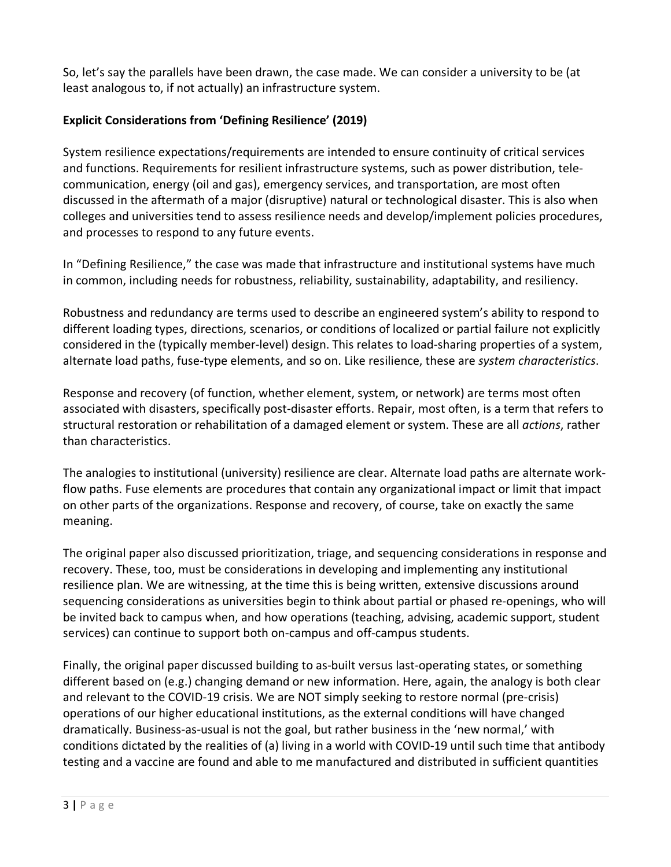So, let's say the parallels have been drawn, the case made. We can consider a university to be (at least analogous to, if not actually) an infrastructure system.

# **Explicit Considerations from 'Defining Resilience' (2019)**

System resilience expectations/requirements are intended to ensure continuity of critical services and functions. Requirements for resilient infrastructure systems, such as power distribution, telecommunication, energy (oil and gas), emergency services, and transportation, are most often discussed in the aftermath of a major (disruptive) natural or technological disaster. This is also when colleges and universities tend to assess resilience needs and develop/implement policies procedures, and processes to respond to any future events.

In "Defining Resilience," the case was made that infrastructure and institutional systems have much in common, including needs for robustness, reliability, sustainability, adaptability, and resiliency.

Robustness and redundancy are terms used to describe an engineered system's ability to respond to different loading types, directions, scenarios, or conditions of localized or partial failure not explicitly considered in the (typically member-level) design. This relates to load-sharing properties of a system, alternate load paths, fuse-type elements, and so on. Like resilience, these are *system characteristics*.

Response and recovery (of function, whether element, system, or network) are terms most often associated with disasters, specifically post-disaster efforts. Repair, most often, is a term that refers to structural restoration or rehabilitation of a damaged element or system. These are all *actions*, rather than characteristics.

The analogies to institutional (university) resilience are clear. Alternate load paths are alternate workflow paths. Fuse elements are procedures that contain any organizational impact or limit that impact on other parts of the organizations. Response and recovery, of course, take on exactly the same meaning.

The original paper also discussed prioritization, triage, and sequencing considerations in response and recovery. These, too, must be considerations in developing and implementing any institutional resilience plan. We are witnessing, at the time this is being written, extensive discussions around sequencing considerations as universities begin to think about partial or phased re-openings, who will be invited back to campus when, and how operations (teaching, advising, academic support, student services) can continue to support both on-campus and off-campus students.

Finally, the original paper discussed building to as-built versus last-operating states, or something different based on (e.g.) changing demand or new information. Here, again, the analogy is both clear and relevant to the COVID-19 crisis. We are NOT simply seeking to restore normal (pre-crisis) operations of our higher educational institutions, as the external conditions will have changed dramatically. Business-as-usual is not the goal, but rather business in the 'new normal,' with conditions dictated by the realities of (a) living in a world with COVID-19 until such time that antibody testing and a vaccine are found and able to me manufactured and distributed in sufficient quantities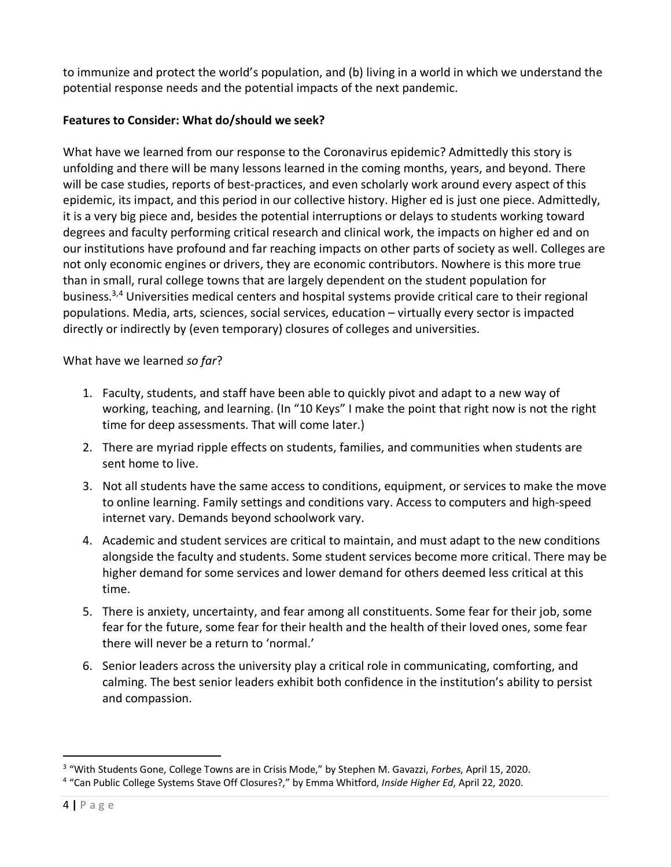to immunize and protect the world's population, and (b) living in a world in which we understand the potential response needs and the potential impacts of the next pandemic.

### **Features to Consider: What do/should we seek?**

What have we learned from our response to the Coronavirus epidemic? Admittedly this story is unfolding and there will be many lessons learned in the coming months, years, and beyond. There will be case studies, reports of best-practices, and even scholarly work around every aspect of this epidemic, its impact, and this period in our collective history. Higher ed is just one piece. Admittedly, it is a very big piece and, besides the potential interruptions or delays to students working toward degrees and faculty performing critical research and clinical work, the impacts on higher ed and on our institutions have profound and far reaching impacts on other parts of society as well. Colleges are not only economic engines or drivers, they are economic contributors. Nowhere is this more true than in small, rural college towns that are largely dependent on the student population for business. 3,4 Universities medical centers and hospital systems provide critical care to their regional populations. Media, arts, sciences, social services, education – virtually every sector is impacted directly or indirectly by (even temporary) closures of colleges and universities.

What have we learned *so far*?

- 1. Faculty, students, and staff have been able to quickly pivot and adapt to a new way of working, teaching, and learning. (In "10 Keys" I make the point that right now is not the right time for deep assessments. That will come later.)
- 2. There are myriad ripple effects on students, families, and communities when students are sent home to live.
- 3. Not all students have the same access to conditions, equipment, or services to make the move to online learning. Family settings and conditions vary. Access to computers and high-speed internet vary. Demands beyond schoolwork vary.
- 4. Academic and student services are critical to maintain, and must adapt to the new conditions alongside the faculty and students. Some student services become more critical. There may be higher demand for some services and lower demand for others deemed less critical at this time.
- 5. There is anxiety, uncertainty, and fear among all constituents. Some fear for their job, some fear for the future, some fear for their health and the health of their loved ones, some fear there will never be a return to 'normal.'
- 6. Senior leaders across the university play a critical role in communicating, comforting, and calming. The best senior leaders exhibit both confidence in the institution's ability to persist and compassion.

 <sup>3</sup> "With Students Gone, College Towns are in Crisis Mode," by Stephen M. Gavazzi, *Forbes*, April 15, 2020.

<sup>4</sup> "Can Public College Systems Stave Off Closures?," by Emma Whitford, *Inside Higher Ed*, April 22, 2020.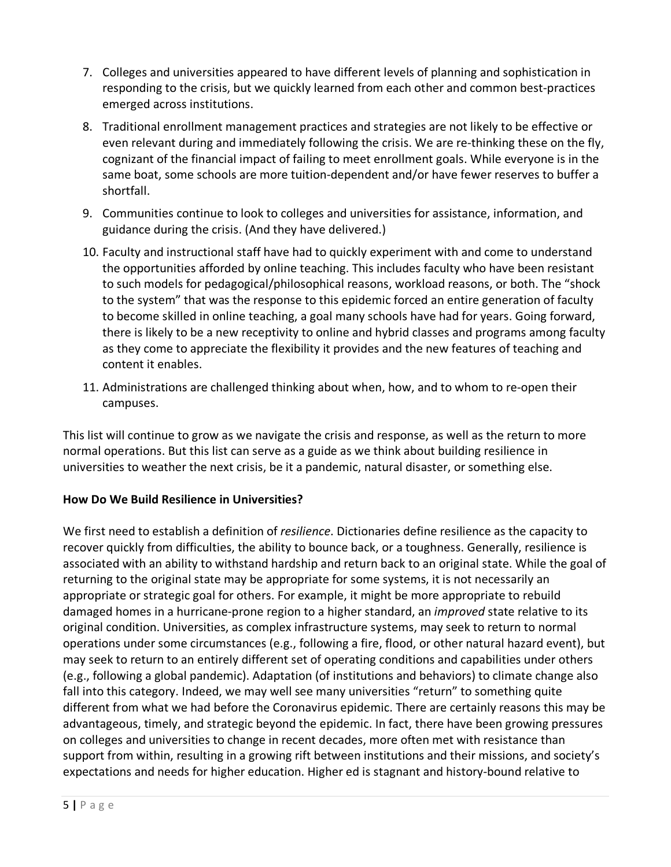- 7. Colleges and universities appeared to have different levels of planning and sophistication in responding to the crisis, but we quickly learned from each other and common best-practices emerged across institutions.
- 8. Traditional enrollment management practices and strategies are not likely to be effective or even relevant during and immediately following the crisis. We are re-thinking these on the fly, cognizant of the financial impact of failing to meet enrollment goals. While everyone is in the same boat, some schools are more tuition-dependent and/or have fewer reserves to buffer a shortfall.
- 9. Communities continue to look to colleges and universities for assistance, information, and guidance during the crisis. (And they have delivered.)
- 10. Faculty and instructional staff have had to quickly experiment with and come to understand the opportunities afforded by online teaching. This includes faculty who have been resistant to such models for pedagogical/philosophical reasons, workload reasons, or both. The "shock to the system" that was the response to this epidemic forced an entire generation of faculty to become skilled in online teaching, a goal many schools have had for years. Going forward, there is likely to be a new receptivity to online and hybrid classes and programs among faculty as they come to appreciate the flexibility it provides and the new features of teaching and content it enables.
- 11. Administrations are challenged thinking about when, how, and to whom to re-open their campuses.

This list will continue to grow as we navigate the crisis and response, as well as the return to more normal operations. But this list can serve as a guide as we think about building resilience in universities to weather the next crisis, be it a pandemic, natural disaster, or something else.

# **How Do We Build Resilience in Universities?**

We first need to establish a definition of *resilience*. Dictionaries define resilience as the capacity to recover quickly from difficulties, the ability to bounce back, or a toughness. Generally, resilience is associated with an ability to withstand hardship and return back to an original state. While the goal of returning to the original state may be appropriate for some systems, it is not necessarily an appropriate or strategic goal for others. For example, it might be more appropriate to rebuild damaged homes in a hurricane-prone region to a higher standard, an *improved* state relative to its original condition. Universities, as complex infrastructure systems, may seek to return to normal operations under some circumstances (e.g., following a fire, flood, or other natural hazard event), but may seek to return to an entirely different set of operating conditions and capabilities under others (e.g., following a global pandemic). Adaptation (of institutions and behaviors) to climate change also fall into this category. Indeed, we may well see many universities "return" to something quite different from what we had before the Coronavirus epidemic. There are certainly reasons this may be advantageous, timely, and strategic beyond the epidemic. In fact, there have been growing pressures on colleges and universities to change in recent decades, more often met with resistance than support from within, resulting in a growing rift between institutions and their missions, and society's expectations and needs for higher education. Higher ed is stagnant and history-bound relative to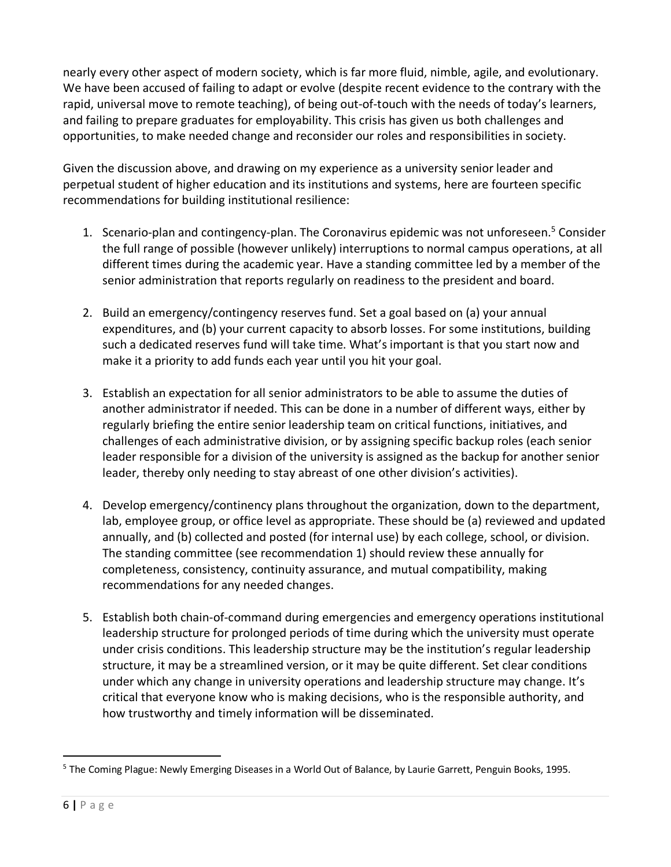nearly every other aspect of modern society, which is far more fluid, nimble, agile, and evolutionary. We have been accused of failing to adapt or evolve (despite recent evidence to the contrary with the rapid, universal move to remote teaching), of being out-of-touch with the needs of today's learners, and failing to prepare graduates for employability. This crisis has given us both challenges and opportunities, to make needed change and reconsider our roles and responsibilities in society.

Given the discussion above, and drawing on my experience as a university senior leader and perpetual student of higher education and its institutions and systems, here are fourteen specific recommendations for building institutional resilience:

- 1. Scenario-plan and contingency-plan. The Coronavirus epidemic was not unforeseen.<sup>5</sup> Consider the full range of possible (however unlikely) interruptions to normal campus operations, at all different times during the academic year. Have a standing committee led by a member of the senior administration that reports regularly on readiness to the president and board.
- 2. Build an emergency/contingency reserves fund. Set a goal based on (a) your annual expenditures, and (b) your current capacity to absorb losses. For some institutions, building such a dedicated reserves fund will take time. What's important is that you start now and make it a priority to add funds each year until you hit your goal.
- 3. Establish an expectation for all senior administrators to be able to assume the duties of another administrator if needed. This can be done in a number of different ways, either by regularly briefing the entire senior leadership team on critical functions, initiatives, and challenges of each administrative division, or by assigning specific backup roles (each senior leader responsible for a division of the university is assigned as the backup for another senior leader, thereby only needing to stay abreast of one other division's activities).
- 4. Develop emergency/continency plans throughout the organization, down to the department, lab, employee group, or office level as appropriate. These should be (a) reviewed and updated annually, and (b) collected and posted (for internal use) by each college, school, or division. The standing committee (see recommendation 1) should review these annually for completeness, consistency, continuity assurance, and mutual compatibility, making recommendations for any needed changes.
- 5. Establish both chain-of-command during emergencies and emergency operations institutional leadership structure for prolonged periods of time during which the university must operate under crisis conditions. This leadership structure may be the institution's regular leadership structure, it may be a streamlined version, or it may be quite different. Set clear conditions under which any change in university operations and leadership structure may change. It's critical that everyone know who is making decisions, who is the responsible authority, and how trustworthy and timely information will be disseminated.

<sup>&</sup>lt;sup>5</sup> The Coming Plague: Newly Emerging Diseases in a World Out of Balance, by Laurie Garrett, Penguin Books, 1995.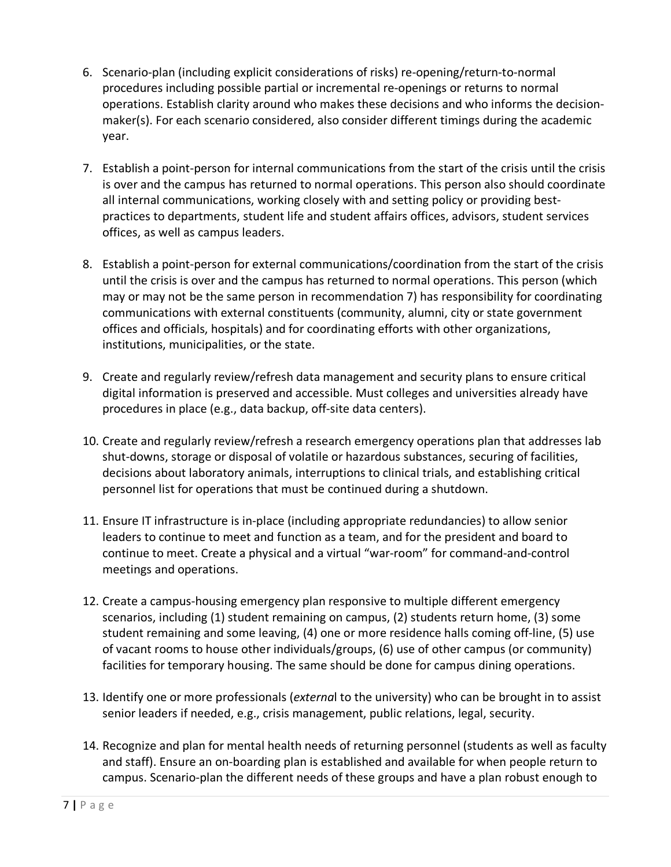- 6. Scenario-plan (including explicit considerations of risks) re-opening/return-to-normal procedures including possible partial or incremental re-openings or returns to normal operations. Establish clarity around who makes these decisions and who informs the decisionmaker(s). For each scenario considered, also consider different timings during the academic year.
- 7. Establish a point-person for internal communications from the start of the crisis until the crisis is over and the campus has returned to normal operations. This person also should coordinate all internal communications, working closely with and setting policy or providing bestpractices to departments, student life and student affairs offices, advisors, student services offices, as well as campus leaders.
- 8. Establish a point-person for external communications/coordination from the start of the crisis until the crisis is over and the campus has returned to normal operations. This person (which may or may not be the same person in recommendation 7) has responsibility for coordinating communications with external constituents (community, alumni, city or state government offices and officials, hospitals) and for coordinating efforts with other organizations, institutions, municipalities, or the state.
- 9. Create and regularly review/refresh data management and security plans to ensure critical digital information is preserved and accessible. Must colleges and universities already have procedures in place (e.g., data backup, off-site data centers).
- 10. Create and regularly review/refresh a research emergency operations plan that addresses lab shut-downs, storage or disposal of volatile or hazardous substances, securing of facilities, decisions about laboratory animals, interruptions to clinical trials, and establishing critical personnel list for operations that must be continued during a shutdown.
- 11. Ensure IT infrastructure is in-place (including appropriate redundancies) to allow senior leaders to continue to meet and function as a team, and for the president and board to continue to meet. Create a physical and a virtual "war-room" for command-and-control meetings and operations.
- 12. Create a campus-housing emergency plan responsive to multiple different emergency scenarios, including (1) student remaining on campus, (2) students return home, (3) some student remaining and some leaving, (4) one or more residence halls coming off-line, (5) use of vacant rooms to house other individuals/groups, (6) use of other campus (or community) facilities for temporary housing. The same should be done for campus dining operations.
- 13. Identify one or more professionals (*externa*l to the university) who can be brought in to assist senior leaders if needed, e.g., crisis management, public relations, legal, security.
- 14. Recognize and plan for mental health needs of returning personnel (students as well as faculty and staff). Ensure an on-boarding plan is established and available for when people return to campus. Scenario-plan the different needs of these groups and have a plan robust enough to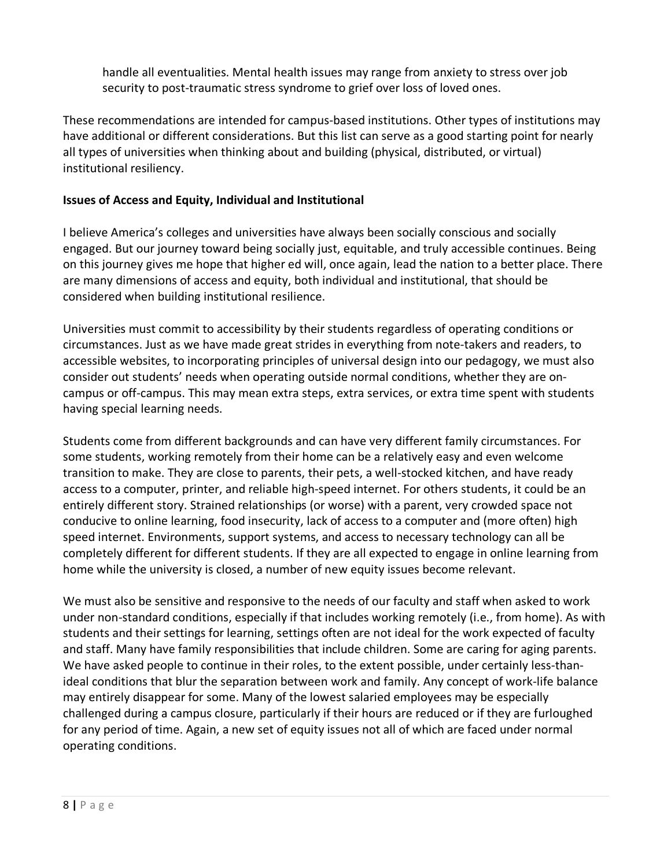handle all eventualities. Mental health issues may range from anxiety to stress over job security to post-traumatic stress syndrome to grief over loss of loved ones.

These recommendations are intended for campus-based institutions. Other types of institutions may have additional or different considerations. But this list can serve as a good starting point for nearly all types of universities when thinking about and building (physical, distributed, or virtual) institutional resiliency.

#### **Issues of Access and Equity, Individual and Institutional**

I believe America's colleges and universities have always been socially conscious and socially engaged. But our journey toward being socially just, equitable, and truly accessible continues. Being on this journey gives me hope that higher ed will, once again, lead the nation to a better place. There are many dimensions of access and equity, both individual and institutional, that should be considered when building institutional resilience.

Universities must commit to accessibility by their students regardless of operating conditions or circumstances. Just as we have made great strides in everything from note-takers and readers, to accessible websites, to incorporating principles of universal design into our pedagogy, we must also consider out students' needs when operating outside normal conditions, whether they are oncampus or off-campus. This may mean extra steps, extra services, or extra time spent with students having special learning needs.

Students come from different backgrounds and can have very different family circumstances. For some students, working remotely from their home can be a relatively easy and even welcome transition to make. They are close to parents, their pets, a well-stocked kitchen, and have ready access to a computer, printer, and reliable high-speed internet. For others students, it could be an entirely different story. Strained relationships (or worse) with a parent, very crowded space not conducive to online learning, food insecurity, lack of access to a computer and (more often) high speed internet. Environments, support systems, and access to necessary technology can all be completely different for different students. If they are all expected to engage in online learning from home while the university is closed, a number of new equity issues become relevant.

We must also be sensitive and responsive to the needs of our faculty and staff when asked to work under non-standard conditions, especially if that includes working remotely (i.e., from home). As with students and their settings for learning, settings often are not ideal for the work expected of faculty and staff. Many have family responsibilities that include children. Some are caring for aging parents. We have asked people to continue in their roles, to the extent possible, under certainly less-thanideal conditions that blur the separation between work and family. Any concept of work-life balance may entirely disappear for some. Many of the lowest salaried employees may be especially challenged during a campus closure, particularly if their hours are reduced or if they are furloughed for any period of time. Again, a new set of equity issues not all of which are faced under normal operating conditions.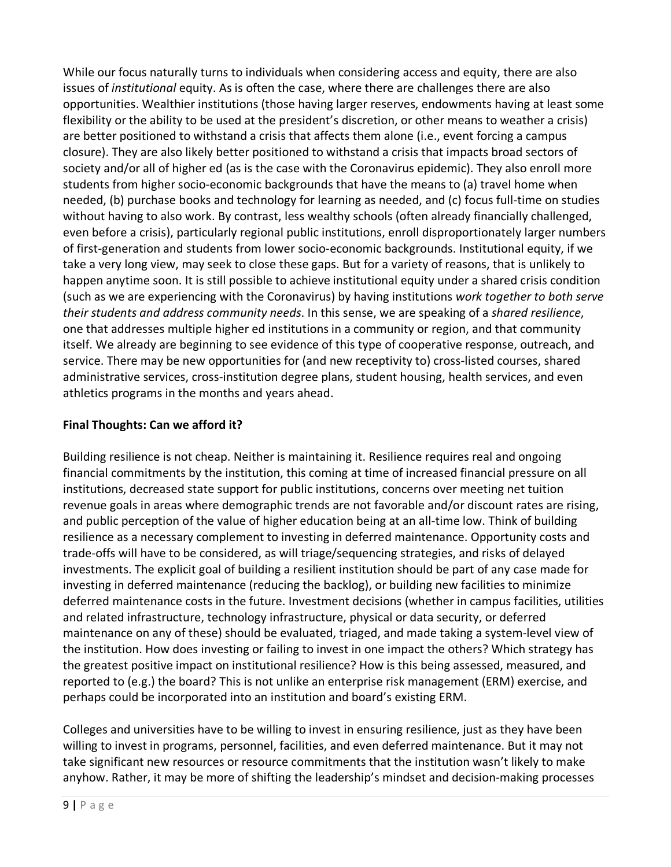While our focus naturally turns to individuals when considering access and equity, there are also issues of *institutional* equity. As is often the case, where there are challenges there are also opportunities. Wealthier institutions (those having larger reserves, endowments having at least some flexibility or the ability to be used at the president's discretion, or other means to weather a crisis) are better positioned to withstand a crisis that affects them alone (i.e., event forcing a campus closure). They are also likely better positioned to withstand a crisis that impacts broad sectors of society and/or all of higher ed (as is the case with the Coronavirus epidemic). They also enroll more students from higher socio-economic backgrounds that have the means to (a) travel home when needed, (b) purchase books and technology for learning as needed, and (c) focus full-time on studies without having to also work. By contrast, less wealthy schools (often already financially challenged, even before a crisis), particularly regional public institutions, enroll disproportionately larger numbers of first-generation and students from lower socio-economic backgrounds. Institutional equity, if we take a very long view, may seek to close these gaps. But for a variety of reasons, that is unlikely to happen anytime soon. It is still possible to achieve institutional equity under a shared crisis condition (such as we are experiencing with the Coronavirus) by having institutions *work together to both serve their students and address community needs*. In this sense, we are speaking of a *shared resilience*, one that addresses multiple higher ed institutions in a community or region, and that community itself. We already are beginning to see evidence of this type of cooperative response, outreach, and service. There may be new opportunities for (and new receptivity to) cross-listed courses, shared administrative services, cross-institution degree plans, student housing, health services, and even athletics programs in the months and years ahead.

# **Final Thoughts: Can we afford it?**

Building resilience is not cheap. Neither is maintaining it. Resilience requires real and ongoing financial commitments by the institution, this coming at time of increased financial pressure on all institutions, decreased state support for public institutions, concerns over meeting net tuition revenue goals in areas where demographic trends are not favorable and/or discount rates are rising, and public perception of the value of higher education being at an all-time low. Think of building resilience as a necessary complement to investing in deferred maintenance. Opportunity costs and trade-offs will have to be considered, as will triage/sequencing strategies, and risks of delayed investments. The explicit goal of building a resilient institution should be part of any case made for investing in deferred maintenance (reducing the backlog), or building new facilities to minimize deferred maintenance costs in the future. Investment decisions (whether in campus facilities, utilities and related infrastructure, technology infrastructure, physical or data security, or deferred maintenance on any of these) should be evaluated, triaged, and made taking a system-level view of the institution. How does investing or failing to invest in one impact the others? Which strategy has the greatest positive impact on institutional resilience? How is this being assessed, measured, and reported to (e.g.) the board? This is not unlike an enterprise risk management (ERM) exercise, and perhaps could be incorporated into an institution and board's existing ERM.

Colleges and universities have to be willing to invest in ensuring resilience, just as they have been willing to invest in programs, personnel, facilities, and even deferred maintenance. But it may not take significant new resources or resource commitments that the institution wasn't likely to make anyhow. Rather, it may be more of shifting the leadership's mindset and decision-making processes